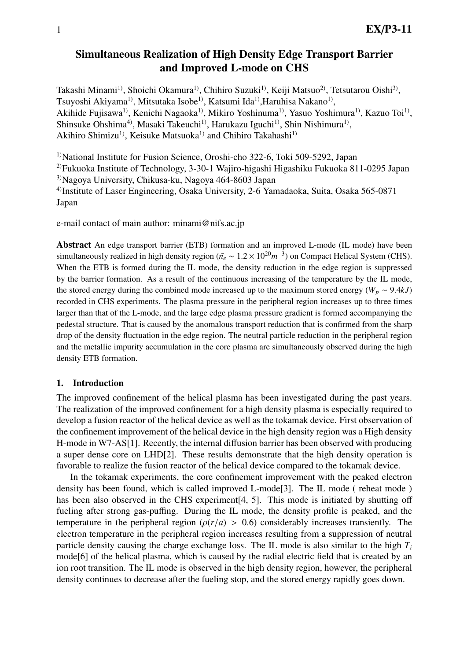# Simultaneous Realization of High Density Edge Transport Barrier and Improved L-mode on CHS

Takashi Minami<sup>1)</sup>, Shoichi Okamura<sup>1)</sup>, Chihiro Suzuki<sup>1)</sup>, Keiji Matsuo<sup>2)</sup>, Tetsutarou Oishi<sup>3)</sup>, Tsuyoshi Akiyama<sup>1)</sup>, Mitsutaka Isobe<sup>1)</sup>, Katsumi Ida<sup>1)</sup>,Haruhisa Nakano<sup>1)</sup>, Akihide Fujisawa<sup>1)</sup>, Kenichi Nagaoka<sup>1)</sup>, Mikiro Yoshinuma<sup>1)</sup>, Yasuo Yoshimura<sup>1)</sup>, Kazuo Toi<sup>1)</sup>, Shinsuke Ohshima<sup>4)</sup>, Masaki Takeuchi<sup>1)</sup>, Harukazu Iguchi<sup>1)</sup>, Shin Nishimura<sup>1)</sup>, Akihiro Shimizu<sup>1)</sup>, Keisuke Matsuoka<sup>1)</sup> and Chihiro Takahashi<sup>1)</sup>

<sup>1)</sup>National Institute for Fusion Science, Oroshi-cho 322-6, Toki 509-5292, Japan 2)Fukuoka Institute of Technology, 3-30-1 Wajiro-higashi Higashiku Fukuoka 811-0295 Japan 3)Nagoya University, Chikusa-ku, Nagoya 464-8603 Japan 4)Institute of Laser Engineering, Osaka University, 2-6 Yamadaoka, Suita, Osaka 565-0871 Japan

e-mail contact of main author: minami@nifs.ac.jp

Abstract An edge transport barrier (ETB) formation and an improved L-mode (IL mode) have been simultaneously realized in high density region ( $\bar{n}_e \sim 1.2 \times 10^{20} m^{-3}$ ) on Compact Helical System (CHS). When the ETB is formed during the IL mode, the density reduction in the edge region is suppressed by the barrier formation. As a result of the continuous increasing of the temperature by the IL mode, the stored energy during the combined mode increased up to the maximum stored energy ( $W_p \sim 9.4 kJ$ ) recorded in CHS experiments. The plasma pressure in the peripheral region increases up to three times larger than that of the L-mode, and the large edge plasma pressure gradient is formed accompanying the pedestal structure. That is caused by the anomalous transport reduction that is confirmed from the sharp drop of the density fluctuation in the edge region. The neutral particle reduction in the peripheral region and the metallic impurity accumulation in the core plasma are simultaneously observed during the high density ETB formation.

## 1. Introduction

The improved confinement of the helical plasma has been investigated during the past years. The realization of the improved confinement for a high density plasma is especially required to develop a fusion reactor of the helical device as well as the tokamak device. First observation of the confinement improvement of the helical device in the high density region was a High density H-mode in W7-AS[1]. Recently, the internal diffusion barrier has been observed with producing a super dense core on LHD[2]. These results demonstrate that the high density operation is favorable to realize the fusion reactor of the helical device compared to the tokamak device.

In the tokamak experiments, the core confinement improvement with the peaked electron density has been found, which is called improved L-mode[3]. The IL mode ( reheat mode ) has been also observed in the CHS experiment[4, 5]. This mode is initiated by shutting off fueling after strong gas-puffing. During the IL mode, the density profile is peaked, and the temperature in the peripheral region ( $\rho(r/a) > 0.6$ ) considerably increases transiently. The electron temperature in the peripheral region increases resulting from a suppression of neutral particle density causing the charge exchange loss. The IL mode is also similar to the high  $T_i$ mode[6] of the helical plasma, which is caused by the radial electric field that is created by an ion root transition. The IL mode is observed in the high density region, however, the peripheral density continues to decrease after the fueling stop, and the stored energy rapidly goes down.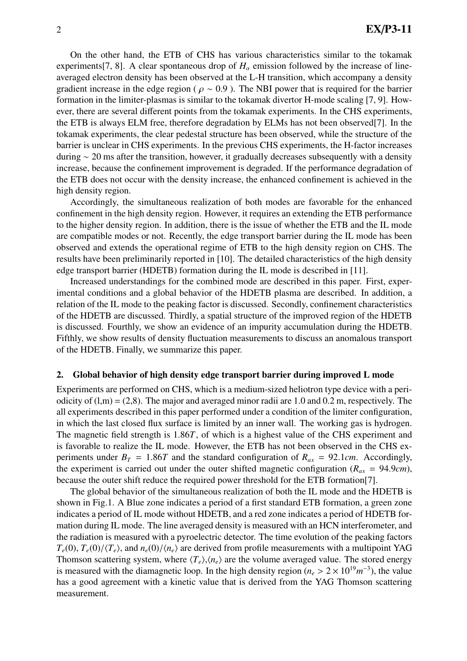On the other hand, the ETB of CHS has various characteristics similar to the tokamak experiments[7, 8]. A clear spontaneous drop of  $H_\alpha$  emission followed by the increase of lineaveraged electron density has been observed at the L-H transition, which accompany a density gradient increase in the edge region ( $\rho \sim 0.9$ ). The NBI power that is required for the barrier formation in the limiter-plasmas is similar to the tokamak divertor H-mode scaling [7, 9]. However, there are several different points from the tokamak experiments. In the CHS experiments, the ETB is always ELM free, therefore degradation by ELMs has not been observed[7]. In the tokamak experiments, the clear pedestal structure has been observed, while the structure of the barrier is unclear in CHS experiments. In the previous CHS experiments, the H-factor increases during ∼ 20 ms after the transition, however, it gradually decreases subsequently with a density increase, because the confinement improvement is degraded. If the performance degradation of the ETB does not occur with the density increase, the enhanced confinement is achieved in the high density region.

Accordingly, the simultaneous realization of both modes are favorable for the enhanced confinement in the high density region. However, it requires an extending the ETB performance to the higher density region. In addition, there is the issue of whether the ETB and the IL mode are compatible modes or not. Recently, the edge transport barrier during the IL mode has been observed and extends the operational regime of ETB to the high density region on CHS. The results have been preliminarily reported in [10]. The detailed characteristics of the high density edge transport barrier (HDETB) formation during the IL mode is described in [11].

Increased understandings for the combined mode are described in this paper. First, experimental conditions and a global behavior of the HDETB plasma are described. In addition, a relation of the IL mode to the peaking factor is discussed. Secondly, confinement characteristics of the HDETB are discussed. Thirdly, a spatial structure of the improved region of the HDETB is discussed. Fourthly, we show an evidence of an impurity accumulation during the HDETB. Fifthly, we show results of density fluctuation measurements to discuss an anomalous transport of the HDETB. Finally, we summarize this paper.

#### 2. Global behavior of high density edge transport barrier during improved L mode

Experiments are performed on CHS, which is a medium-sized heliotron type device with a periodicity of  $(l,m) = (2,8)$ . The major and averaged minor radii are 1.0 and 0.2 m, respectively. The all experiments described in this paper performed under a condition of the limiter configuration, in which the last closed flux surface is limited by an inner wall. The working gas is hydrogen. The magnetic field strength is 1.86*T*, of which is a highest value of the CHS experiment and is favorable to realize the IL mode. However, the ETB has not been observed in the CHS experiments under  $B_T = 1.86T$  and the standard configuration of  $R_{ax} = 92.1cm$ . Accordingly, the experiment is carried out under the outer shifted magnetic configuration ( $R_{ax} = 94.9cm$ ), because the outer shift reduce the required power threshold for the ETB formation[7].

The global behavior of the simultaneous realization of both the IL mode and the HDETB is shown in Fig.1. A Blue zone indicates a period of a first standard ETB formation, a green zone indicates a period of IL mode without HDETB, and a red zone indicates a period of HDETB formation during IL mode. The line averaged density is measured with an HCN interferometer, and the radiation is measured with a pyroelectric detector. The time evolution of the peaking factors  $T_e(0)$ ,  $T_e(0)/\langle T_e \rangle$ , and  $n_e(0)/\langle n_e \rangle$  are derived from profile measurements with a multipoint YAG Thomson scattering system, where  $\langle T_e \rangle$ ,  $\langle n_e \rangle$  are the volume averaged value. The stored energy is measured with the diamagnetic loop. In the high density region  $(n_e > 2 \times 10^{19} m^{-3})$ , the value has a good agreement with a kinetic value that is derived from the YAG Thomson scattering measurement.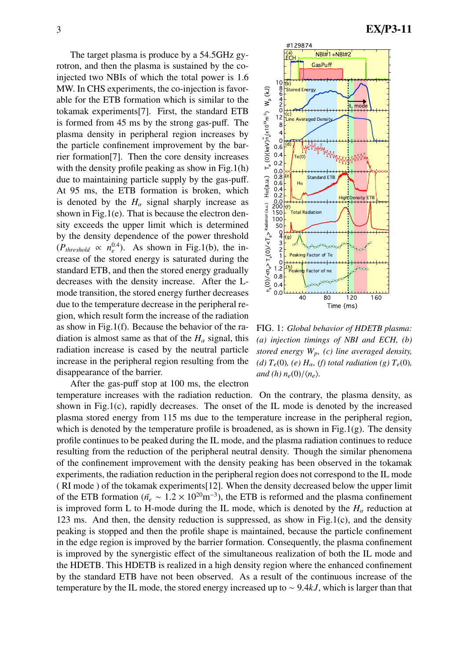The target plasma is produce by a 54.5GHz gyrotron, and then the plasma is sustained by the coinjected two NBIs of which the total power is 1.6 MW. In CHS experiments, the co-injection is favorable for the ETB formation which is similar to the tokamak experiments[7]. First, the standard ETB is formed from 45 ms by the strong gas-puff. The plasma density in peripheral region increases by the particle confinement improvement by the barrier formation[7]. Then the core density increases with the density profile peaking as show in Fig.1(h) due to maintaining particle supply by the gas-puff. At 95 ms, the ETB formation is broken, which is denoted by the  $H_\alpha$  signal sharply increase as shown in Fig.1(e). That is because the electron density exceeds the upper limit which is determined by the density dependence of the power threshold  $(P_{threshold} \propto n_e^{0.4})$ . As shown in Fig.1(b), the increase of the stored energy is saturated during the standard ETB, and then the stored energy gradually decreases with the density increase. After the Lmode transition, the stored energy further decreases due to the temperature decrease in the peripheral region, which result form the increase of the radiation as show in Fig.1(f). Because the behavior of the radiation is almost same as that of the  $H_\alpha$  signal, this radiation increase is cased by the neutral particle increase in the peripheral region resulting from the disappearance of the barrier.



FIG. 1: *Global behavior of HDETB plasma: (a) injection timings of NBI and ECH, (b) stored energy Wp, (c) line averaged density, (d)*  $T_e(0)$ *, (e)*  $H_\alpha$ *, (f)* total radiation (g)  $T_e(0)$ *, and* (h)  $n_e(0)/\langle n_e \rangle$ .

40 80 120 160 Time (ms)

1.2 $\vdash$ 0.8  $0.4$ 0.0

(h)

Peaking Factor of ne

(i)<br>
definition (a.u.)<br>
definition (a.u.)<br>
definition (a.u.)<br>
definition (a.u.)<br>
definition (b.u.)<br>
definition (b.u.)<br>
definition (b.u.)

Wp (kJ)

 $\frac{1}{2}$ n $\frac{1}{9}$ ີ້<br>E

Ha(a.u.)

e (0)(keV)

temperature increases with the radiation reduction. On the contrary, the plasma density, as shown in Fig.1(c), rapidly decreases. The onset of the IL mode is denoted by the increased plasma stored energy from 115 ms due to the temperature increase in the peripheral region, which is denoted by the temperature profile is broadened, as is shown in Fig.1(g). The density profile continues to be peaked during the IL mode, and the plasma radiation continues to reduce resulting from the reduction of the peripheral neutral density. Though the similar phenomena of the confinement improvement with the density peaking has been observed in the tokamak experiments, the radiation reduction in the peripheral region does not correspond to the IL mode ( RI mode ) of the tokamak experiments[12]. When the density decreased below the upper limit of the ETB formation ( $\bar{n}_e \sim 1.2 \times 10^{20} \text{m}^{-3}$ ), the ETB is reformed and the plasma confinement is improved form L to H-mode during the IL mode, which is denoted by the  $H_\alpha$  reduction at 123 ms. And then, the density reduction is suppressed, as show in Fig.1(c), and the density peaking is stopped and then the profile shape is maintained, because the particle confinement in the edge region is improved by the barrier formation. Consequently, the plasma confinement is improved by the synergistic effect of the simultaneous realization of both the IL mode and the HDETB. This HDETB is realized in a high density region where the enhanced confinement by the standard ETB have not been observed. As a result of the continuous increase of the temperature by the IL mode, the stored energy increased up to ∼ 9.4*kJ*, which is larger than that

After the gas-puff stop at 100 ms, the electron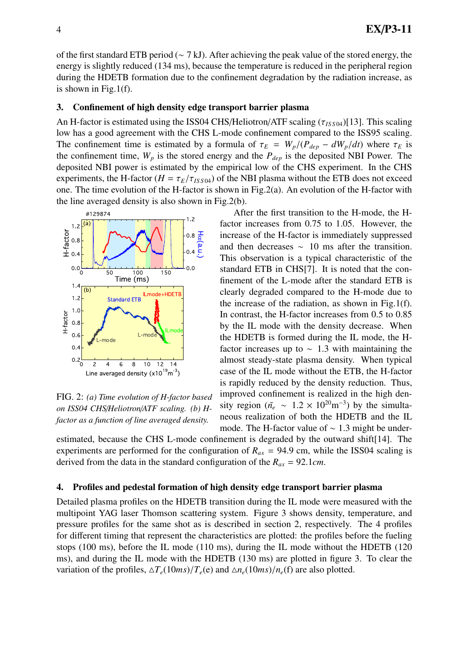of the first standard ETB period (∼ 7 kJ). After achieving the peak value of the stored energy, the energy is slightly reduced (134 ms), because the temperature is reduced in the peripheral region during the HDETB formation due to the confinement degradation by the radiation increase, as is shown in Fig.1(f).

### 3. Confinement of high density edge transport barrier plasma

An H-factor is estimated using the ISS04 CHS/Heliotron/ATF scaling (τ*IS S* <sup>04</sup>)[13]. This scaling low has a good agreement with the CHS L-mode confinement compared to the ISS95 scaling. The confinement time is estimated by a formula of  $\tau_E = W_p/(P_{dep} - dW_p/dt)$  where  $\tau_E$  is the confinement time,  $W_p$  is the stored energy and the  $P_{dep}$  is the deposited NBI Power. The deposited NBI power is estimated by the empirical low of the CHS experiment. In the CHS experiments, the H-factor ( $H = \tau_E/\tau_{ISS04}$ ) of the NBI plasma without the ETB does not exceed one. The time evolution of the H-factor is shown in Fig.2(a). An evolution of the H-factor with the line averaged density is also shown in Fig.2(b).



FIG. 2: *(a) Time evolution of H-factor based on ISS04 CHS*/*Heliotron*/*ATF scaling. (b) Hfactor as a function of line averaged density.*

After the first transition to the H-mode, the Hfactor increases from 0.75 to 1.05. However, the increase of the H-factor is immediately suppressed and then decreases  $~10$  ms after the transition. This observation is a typical characteristic of the standard ETB in CHS[7]. It is noted that the confinement of the L-mode after the standard ETB is clearly degraded compared to the H-mode due to the increase of the radiation, as shown in Fig.1(f). In contrast, the H-factor increases from 0.5 to 0.85 by the IL mode with the density decrease. When the HDETB is formed during the IL mode, the Hfactor increases up to  $\sim$  1.3 with maintaining the almost steady-state plasma density. When typical case of the IL mode without the ETB, the H-factor is rapidly reduced by the density reduction. Thus, improved confinement is realized in the high density region ( $\bar{n}_e \sim 1.2 \times 10^{20} \text{m}^{-3}$ ) by the simultaneous realization of both the HDETB and the IL mode. The H-factor value of ∼ 1.3 might be under-

estimated, because the CHS L-mode confinement is degraded by the outward shift[14]. The experiments are performed for the configuration of  $R_{ax} = 94.9$  cm, while the ISS04 scaling is derived from the data in the standard configuration of the *Rax* = 92.1*cm*.

## 4. Profiles and pedestal formation of high density edge transport barrier plasma

Detailed plasma profiles on the HDETB transition during the IL mode were measured with the multipoint YAG laser Thomson scattering system. Figure 3 shows density, temperature, and pressure profiles for the same shot as is described in section 2, respectively. The 4 profiles for different timing that represent the characteristics are plotted: the profiles before the fueling stops (100 ms), before the IL mode (110 ms), during the IL mode without the HDETB (120 ms), and during the IL mode with the HDETB (130 ms) are plotted in figure 3. To clear the variation of the profiles,  $\Delta T_e(10ms)/T_e(e)$  and  $\Delta n_e(10ms)/n_e(f)$  are also plotted.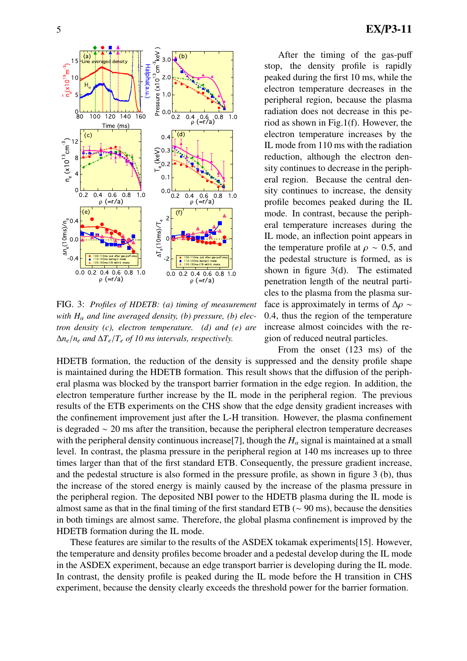

FIG. 3: *Profiles of HDETB: (a) timing of measurement with H*<sup>α</sup> *and line averaged density, (b) pressure, (b) electron density (c), electron temperature. (d) and (e) are* ∆*ne*/*n<sup>e</sup> and* ∆*Te*/*T<sup>e</sup> of 10 ms intervals, respectively.*

After the timing of the gas-puff stop, the density profile is rapidly peaked during the first 10 ms, while the electron temperature decreases in the peripheral region, because the plasma radiation does not decrease in this period as shown in Fig.1(f). However, the electron temperature increases by the IL mode from 110 ms with the radiation reduction, although the electron density continues to decrease in the peripheral region. Because the central density continues to increase, the density profile becomes peaked during the IL mode. In contrast, because the peripheral temperature increases during the IL mode, an inflection point appears in the temperature profile at  $\rho \sim 0.5$ , and the pedestal structure is formed, as is shown in figure 3(d). The estimated penetration length of the neutral particles to the plasma from the plasma surface is approximately in terms of  $\Delta \rho \sim$ 0.4, thus the region of the temperature increase almost coincides with the region of reduced neutral particles.

From the onset (123 ms) of the HDETB formation, the reduction of the density is suppressed and the density profile shape is maintained during the HDETB formation. This result shows that the diffusion of the peripheral plasma was blocked by the transport barrier formation in the edge region. In addition, the electron temperature further increase by the IL mode in the peripheral region. The previous results of the ETB experiments on the CHS show that the edge density gradient increases with the confinement improvement just after the L-H transition. However, the plasma confinement is degraded ∼ 20 ms after the transition, because the peripheral electron temperature decreases with the peripheral density continuous increase<sup>[7]</sup>, though the  $H_\alpha$  signal is maintained at a small level. In contrast, the plasma pressure in the peripheral region at 140 ms increases up to three times larger than that of the first standard ETB. Consequently, the pressure gradient increase, and the pedestal structure is also formed in the pressure profile, as shown in figure 3 (b), thus the increase of the stored energy is mainly caused by the increase of the plasma pressure in the peripheral region. The deposited NBI power to the HDETB plasma during the IL mode is almost same as that in the final timing of the first standard ETB (∼ 90 ms), because the densities in both timings are almost same. Therefore, the global plasma confinement is improved by the HDETB formation during the IL mode.

These features are similar to the results of the ASDEX tokamak experiments[15]. However, the temperature and density profiles become broader and a pedestal develop during the IL mode in the ASDEX experiment, because an edge transport barrier is developing during the IL mode. In contrast, the density profile is peaked during the IL mode before the H transition in CHS experiment, because the density clearly exceeds the threshold power for the barrier formation.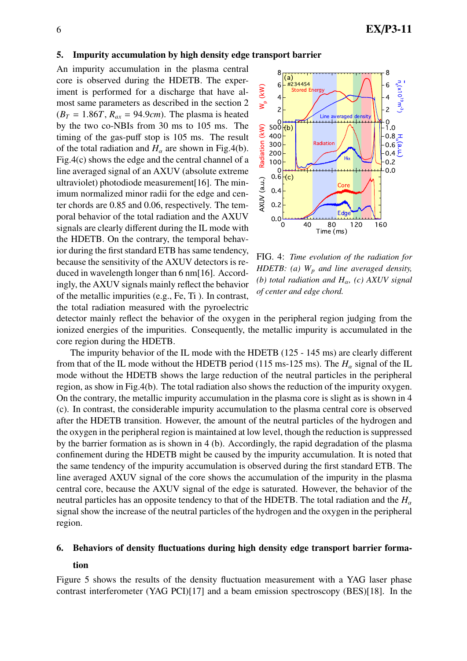#### 5. Impurity accumulation by high density edge transport barrier

An impurity accumulation in the plasma central core is observed during the HDETB. The experiment is performed for a discharge that have almost same parameters as described in the section 2  $(B_T = 1.86T, R_{ax} = 94.9cm)$ . The plasma is heated by the two co-NBIs from 30 ms to 105 ms. The timing of the gas-puff stop is 105 ms. The result of the total radiation and  $H_\alpha$  are shown in Fig.4(b). Fig.4(c) shows the edge and the central channel of a line averaged signal of an AXUV (absolute extreme ultraviolet) photodiode measurement[16]. The minimum normalized minor radii for the edge and center chords are 0.85 and 0.06, respectively. The temporal behavior of the total radiation and the AXUV signals are clearly different during the IL mode with the HDETB. On the contrary, the temporal behavior during the first standard ETB has same tendency, because the sensitivity of the AXUV detectors is reduced in wavelength longer than 6 nm[16]. Accordingly, the AXUV signals mainly reflect the behavior of the metallic impurities (e.g., Fe, Ti ). In contrast, the total radiation measured with the pyroelectric



FIG. 4: *Time evolution of the radiation for HDETB: (a) W<sup>p</sup> and line averaged density, (b) total radiation and H*α*, (c) AXUV signal of center and edge chord.*

detector mainly reflect the behavior of the oxygen in the peripheral region judging from the ionized energies of the impurities. Consequently, the metallic impurity is accumulated in the core region during the HDETB.

The impurity behavior of the IL mode with the HDETB (125 - 145 ms) are clearly different from that of the IL mode without the HDETB period (115 ms-125 ms). The  $H_\alpha$  signal of the IL mode without the HDETB shows the large reduction of the neutral particles in the peripheral region, as show in Fig.4(b). The total radiation also shows the reduction of the impurity oxygen. On the contrary, the metallic impurity accumulation in the plasma core is slight as is shown in 4 (c). In contrast, the considerable impurity accumulation to the plasma central core is observed after the HDETB transition. However, the amount of the neutral particles of the hydrogen and the oxygen in the peripheral region is maintained at low level, though the reduction is suppressed by the barrier formation as is shown in 4 (b). Accordingly, the rapid degradation of the plasma confinement during the HDETB might be caused by the impurity accumulation. It is noted that the same tendency of the impurity accumulation is observed during the first standard ETB. The line averaged AXUV signal of the core shows the accumulation of the impurity in the plasma central core, because the AXUV signal of the edge is saturated. However, the behavior of the neutral particles has an opposite tendency to that of the HDETB. The total radiation and the  $H_{\alpha}$ signal show the increase of the neutral particles of the hydrogen and the oxygen in the peripheral region.

#### 6. Behaviors of density fluctuations during high density edge transport barrier forma-

#### tion

Figure 5 shows the results of the density fluctuation measurement with a YAG laser phase contrast interferometer (YAG PCI)[17] and a beam emission spectroscopy (BES)[18]. In the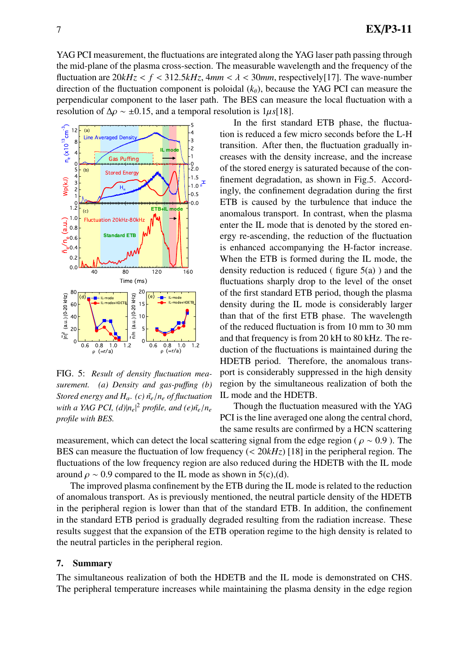YAG PCI measurement, the fluctuations are integrated along the YAG laser path passing through the mid-plane of the plasma cross-section. The measurable wavelength and the frequency of the fluctuation are  $20kHz < f < 312.5kHz$ ,  $4mm < \lambda < 30mm$ , respectively[17]. The wave-number direction of the fluctuation component is poloidal  $(k<sub>\theta</sub>)$ , because the YAG PCI can measure the perpendicular component to the laser path. The BES can measure the local fluctuation with a resolution of  $\Delta \rho \sim \pm 0.15$ , and a temporal resolution is 1µ*s*[18].



FIG. 5: *Result of density fluctuation measurement. (a) Density and gas-pu*ffi*ng (b) Stored energy and*  $H_\alpha$ *. (c)*  $\tilde{n}_e/n_e$  *of fluctuation with a YAG PCI,*  $(d)|n_e|^2$  *profile, and*  $(e)\tilde{n_e}/n_e$ *profile with BES.*

In the first standard ETB phase, the fluctuation is reduced a few micro seconds before the L-H transition. After then, the fluctuation gradually increases with the density increase, and the increase of the stored energy is saturated because of the confinement degradation, as shown in Fig.5. Accordingly, the confinement degradation during the first ETB is caused by the turbulence that induce the anomalous transport. In contrast, when the plasma enter the IL mode that is denoted by the stored energy re-ascending, the reduction of the fluctuation is enhanced accompanying the H-factor increase. When the ETB is formed during the IL mode, the density reduction is reduced ( figure  $5(a)$  ) and the fluctuations sharply drop to the level of the onset of the first standard ETB period, though the plasma density during the IL mode is considerably larger than that of the first ETB phase. The wavelength of the reduced fluctuation is from 10 mm to 30 mm and that frequency is from 20 kH to 80 kHz. The reduction of the fluctuations is maintained during the HDETB period. Therefore, the anomalous transport is considerably suppressed in the high density region by the simultaneous realization of both the IL mode and the HDETB.

Though the fluctuation measured with the YAG PCI is the line averaged one along the central chord, the same results are confirmed by a HCN scattering

measurement, which can detect the local scattering signal from the edge region ( $\rho \sim 0.9$ ). The BES can measure the fluctuation of low frequency (< 20*kHz*) [18] in the peripheral region. The fluctuations of the low frequency region are also reduced during the HDETB with the IL mode around  $\rho \sim 0.9$  compared to the IL mode as shown in 5(c),(d).

The improved plasma confinement by the ETB during the IL mode is related to the reduction of anomalous transport. As is previously mentioned, the neutral particle density of the HDETB in the peripheral region is lower than that of the standard ETB. In addition, the confinement in the standard ETB period is gradually degraded resulting from the radiation increase. These results suggest that the expansion of the ETB operation regime to the high density is related to the neutral particles in the peripheral region.

### 7. Summary

The simultaneous realization of both the HDETB and the IL mode is demonstrated on CHS. The peripheral temperature increases while maintaining the plasma density in the edge region